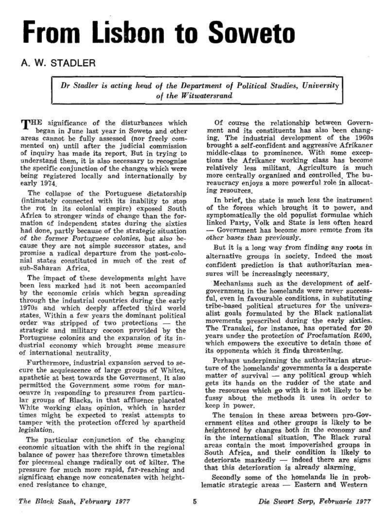## **From Lisbon to Soweto**

## A. W. STADLER

*Dr Stadier is acting head of the Department of Political Studies, University of the Wit watersrand* 

THE significance of the disturbances which began in June last year in Soweto and other areas cannot be fully assessed (nor freely commented on) until after the judicial commission of inquiry has made its report. But in trying to understand them, it is also necessary to recognise the specific conjunction of the changes which were being registered locally and internationally by early 1974,

The collapse of the Portuguese dictatorship (intimately connected with its inability to stop the rot in its colonial empire) exposed South Africa to stronger winds of change than the formation of independent states during the sixties had done, partly because of the strategic situation of the former Portuguese colonies, but also because they are not simple successor states, and promise a radical departure from the post-colonial states constituted in much of the rest of sub-Saharan Africa.

The impact of these developments might have been less marked had it not been accompanied by the economic crisis which began spreading through the industrial countries during the early 1970s and which deeply affected third world states. Within a few years the dominant political order was stripped of two protections — the strategic and military cocoon provided by the Portuguese colonies and the expansion of its industrial economy which brought some measure of international neutrality.

Furthermore, industrial expansion served to secure the acquiescence of large groups of Whites, apathetic at best towards the Government. It also permitted the Government some room for manoeuvre in responding to pressures from particular groups of Blacks, in that affluence placated White working class opinion, which in harder times might be expected to resist attempts to tamper with the protection offered by apartheid legislation.

The particular conjunction of the changing economic situation with the shift in the regional balance of power has therefore thrown timetables for piecemeal change radically out of kilter. The pressure for much more rapid, far-reaching and significant change now concatenates with heightened resistance to change.

Of course the relationship between Government and its constituents has also been changing. The industrial development of the 1960s brought a self-confident and aggressive Afrikaner middle-class to prominence. With some exceptions the Afrikaner working class has become relatively less militant. Agriculture is much more centrally organised and controlled. The bureaucracy enjoys a more powerful role in allocating resources.

In brief, the state is much less the instrument of the forces which brought it to power, and symptomatically the old populist formulae which linked Party, Volk and State is less often heard — Government has become more remote from its other bases than previously.

But it is a long way from finding any roots in alternative groups in society. Indeed the most confident prediction is that authoritarian measures will be increasingly necessary.

Mechanisms such as the development of selfgovernment in the homelands were never successful, even in favourable conditions, in substituting tribe-based political structures for the universalist goals formulated by the Black nationalist movements prescribed during the early sixties. The Transkei, for instance, has operated for 20 years under the protection of Proclamation R400, which empowers the executive to detain those of its opponents which it finds threatening.

Perhaps underpinning the authoritarian structure of the homelands' governments is a desperate matter of survival — any political group which gets its hands on the rudder of the state and the resources which go with it is not likely to be fussy about the methods it uses in order to keep in power.

The tension in these areas between pro-Government elites and other groups is likely to be heightened by changes both in the economy and in the international situation. The Black rural areas contain the most impoverished groups in South Africa, and their condition is likely to deteriorate markedly — indeed there are signs that this deterioration is already alarming.

Secondly some of the homelands lie in problematic strategic areas — Eastern and Western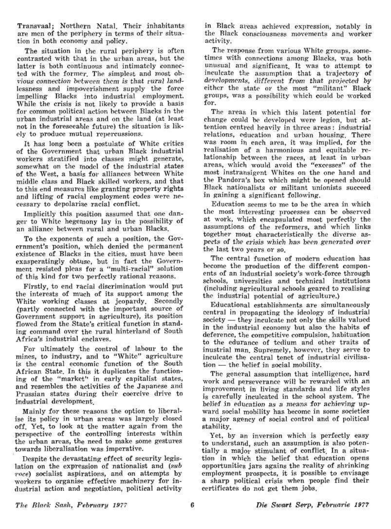Transvaal; Northern Natal. Their inhabitants are men of the periphery in terms of their situation in both economy and policy.

The situation in the rural periphery is often contrasted with that in the urban areas, but the latter is both continuous and intimately connected with the former. The simplest and most obvious connection between them is that rural landlessness and impoverishment supply the force impelling Blacks into industrial employment While the crisis is not likely to provide a basis for common political action between Blacks in the urban industrial areas and on the land (at least not in the foreseeable future) the situation is likely to produce mutual repercussions.

It has long been a postulate of White critics of the Government that urban Black industrial workers stratified into classes might generate, somewhat on the model of the industrial states of the West, a basis for alliances between White middle class and Black skilled workers, and that to this end measures like granting property rights and lifting of racial employment codes were necessary to depolarise racial conflict.

Implicitly this position assumed that one danger to White hegemony lay in the possibility of an alliance between rural and urban Blacks.

To the exponents of such a position, the Government's position, which denied the permanent existence of Blacks in the cities, must have been exasperatingly obtuse, but in fact the Government resisted pleas for a "multi-racial" solution of this kind for two perfectly rational reasons.

Firstly, to end racial discrimination would put the interests of much of its support among the White working classes at jeopardy. Secondly (partly connected with the important source of Government support in agriculture), its position flowed from the State's critical function in standing command over the rural hinterland of South Africa's industrial enclaves.

For ultimately the control of labour to the mines, to industry, and to "White" agriculture is the central economic function of the South African State, In this it duplicates the functioning of the "market" in early capitalist states, and resembles the activities of the Japanese and Prussian states during their coercive drive to industrial development.

Mainly for these reasons the option to liberalise its policy in urban areas was largely closed off. Yet, to look at the matter again from the perspective of the controlling interests within the urban areas, the need to make some gestures towards liberalisation was imperative.

Despite the devastating effect of security legislation on the expression of nationalist and (sub *voce)* socialist aspirations, and on attempts by workers to organise effective machinery for industrial action and negotiation, political activity

in Black areas achieved expression, notably in the Black consciousness movements and worker activity.

The response from various White groups, sometimes with connections among Blacks, was both unusual and significant. It was to attempt to inculcate the assumption that a trajectory of developments, different from that projected by either the state or the most "militant" Black groups, was a possibility which could be worked for.

The areas in which this latent potential for change could be developed were legion, but attention centred heavily in three areas: industrial relations, education and urban housing. There was room in each area, it was implied, for the realisation of a harmonious and equitable relationship between the races, at least in urban areas, which would avoid the "excesses" of the most instransigent Whites on the one hand and the Pandora's box which might be opened should Black nationalists or militant unionists succeed in gaining a significant following.

Education seems to me to be the area in which the most interesting processes can be observed at work, which encapsulated most perfectly the assumptions of the reformers, and which links together most characteristically the diverse aspects of the crisis which has been generated over the last two years or so.

The central function of modem education has become the production of the different components of an industrial society's work-force through schools, universities and technical institutions (including agricultural schools geared to realising the industrial potential of agriculture.)

Educational establishments are simultaneously central in propagating the ideology of industrial society — they inculcate not only the skills valued in the industrial economy but also the habits of deference, the competitive compulsion, habituation to the edurance of tedium and other traits of inustrial man. Supremely, however, they serve to inculcate the central tenet of industrial civilisation — the belief in social mobility.

The general assumption that intelligence, hard work and perseverance will be rewarded with an improvement in living standards and life styles is carefully inculcated in the school system. The belief in education as a means for achieving upward social mobility has become in some societies a major agency of social control and of political stability.

Yet, by an inversion which is perfectly easy to understand, such an assumption is also potentially a major stimulant of conflict. In a situation in which the belief that education opens opportunities jars agains the reality of shrinking employment prospects, it is possible to envisage a sharp political crisis when people find their certificates do not get them jobs.